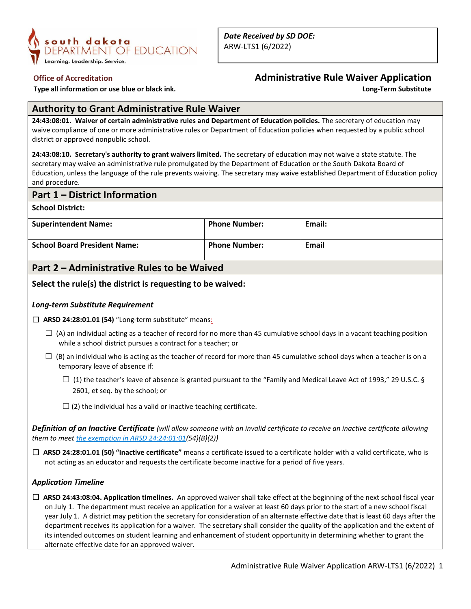

**Type all information or use blue or black ink.** 

# **Office of Accreditation**<br> **Administrative Rule Waiver Application**<br> **Administrative Rule Waiver Application**<br> **Long-Term Substitute**

# **Authority to Grant Administrative Rule Waiver**

**24:43:08:01. Waiver of certain administrative rules and Department of Education policies.** The secretary of education may waive compliance of one or more administrative rules or Department of Education policies when requested by a public school district or approved nonpublic school.

**24:43:08:10. Secretary's authority to grant waivers limited.** The secretary of education may not waive a state statute. The secretary may waive an administrative rule promulgated by the Department of Education or the South Dakota Board of Education, unless the language of the rule prevents waiving. The secretary may waive established Department of Education policy and procedure.

# **Part 1 – District Information**

**School District:**

| <b>Superintendent Name:</b>         | <b>Phone Number:</b> | Email: |
|-------------------------------------|----------------------|--------|
| <b>School Board President Name:</b> | <b>Phone Number:</b> | Email  |

# **Part 2 – Administrative Rules to be Waived**

# **Select the rule(s) the district is requesting to be waived:**

## *Long-term Substitute Requirement*

□ **ARSD 24:28:01.01 (54)** "Long-term substitute" means:

- $\Box$  (A) an individual acting as a teacher of record for no more than 45 cumulative school days in a vacant teaching position while a school district pursues a contract for a teacher; or
- $\square$  (B) an individual who is acting as the teacher of record for more than 45 cumulative school days when a teacher is on a temporary leave of absence if:
	- $\Box$  (1) the teacher's leave of absence is granted pursuant to the "Family and Medical Leave Act of 1993," 29 U.S.C. § 2601, et seq. by the school; or
	- $\Box$  (2) the individual has a valid or inactive teaching certificate.

*Definition of an Inactive Certificate (will allow someone with an invalid certificate to receive an inactive certificate allowing them to meet the exemption in ARSD 24:24:01:01(54)(B)(2))*

☐ **ARSD 24:28:01.01 (50) "Inactive certificate"** means a certificate issued to a certificate holder with a valid certificate, who is not acting as an educator and requests the certificate become inactive for a period of five years.

## *Application Timeline*

☐ **ARSD 24:43:08:04. Application timelines.** An approved waiver shall take effect at the beginning of the next school fiscal year on July 1. The department must receive an application for a waiver at least 60 days prior to the start of a new school fiscal year July 1. A district may petition the secretary for consideration of an alternate effective date that is least 60 days after the department receives its application for a waiver. The secretary shall consider the quality of the application and the extent of its intended outcomes on student learning and enhancement of student opportunity in determining whether to grant the alternate effective date for an approved waiver.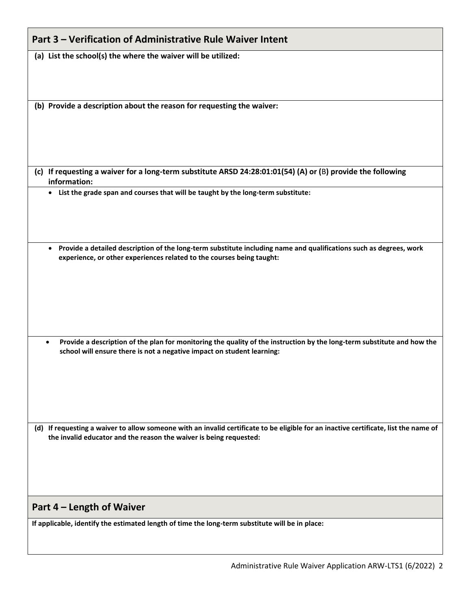| Part 3 - Verification of Administrative Rule Waiver Intent                                                                                                                                                     |  |  |
|----------------------------------------------------------------------------------------------------------------------------------------------------------------------------------------------------------------|--|--|
| (a) List the school(s) the where the waiver will be utilized:                                                                                                                                                  |  |  |
|                                                                                                                                                                                                                |  |  |
| (b) Provide a description about the reason for requesting the waiver:                                                                                                                                          |  |  |
|                                                                                                                                                                                                                |  |  |
| (c) If requesting a waiver for a long-term substitute ARSD 24:28:01:01(54) (A) or (B) provide the following<br>information:                                                                                    |  |  |
| • List the grade span and courses that will be taught by the long-term substitute:                                                                                                                             |  |  |
|                                                                                                                                                                                                                |  |  |
|                                                                                                                                                                                                                |  |  |
| Provide a detailed description of the long-term substitute including name and qualifications such as degrees, work<br>$\bullet$<br>experience, or other experiences related to the courses being taught:       |  |  |
|                                                                                                                                                                                                                |  |  |
|                                                                                                                                                                                                                |  |  |
|                                                                                                                                                                                                                |  |  |
| Provide a description of the plan for monitoring the quality of the instruction by the long-term substitute and how the<br>$\bullet$<br>school will ensure there is not a negative impact on student learning: |  |  |
|                                                                                                                                                                                                                |  |  |
|                                                                                                                                                                                                                |  |  |
|                                                                                                                                                                                                                |  |  |
| (d) If requesting a waiver to allow someone with an invalid certificate to be eligible for an inactive certificate, list the name of<br>the invalid educator and the reason the waiver is being requested:     |  |  |
|                                                                                                                                                                                                                |  |  |
|                                                                                                                                                                                                                |  |  |
| Part 4 – Length of Waiver                                                                                                                                                                                      |  |  |
| If applicable, identify the estimated length of time the long-term substitute will be in place:                                                                                                                |  |  |
|                                                                                                                                                                                                                |  |  |